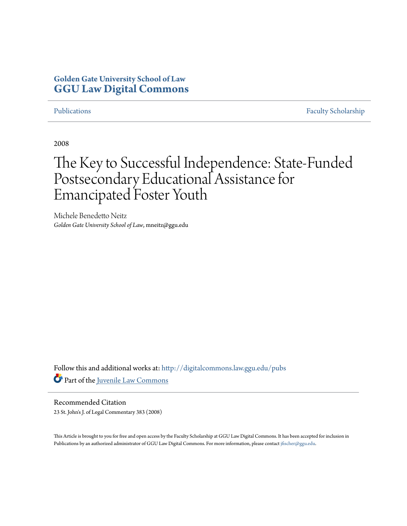# **Golden Gate University School of Law [GGU Law Digital Commons](http://digitalcommons.law.ggu.edu?utm_source=digitalcommons.law.ggu.edu%2Fpubs%2F188&utm_medium=PDF&utm_campaign=PDFCoverPages)**

[Publications](http://digitalcommons.law.ggu.edu/pubs?utm_source=digitalcommons.law.ggu.edu%2Fpubs%2F188&utm_medium=PDF&utm_campaign=PDFCoverPages) [Faculty Scholarship](http://digitalcommons.law.ggu.edu/facultyschol?utm_source=digitalcommons.law.ggu.edu%2Fpubs%2F188&utm_medium=PDF&utm_campaign=PDFCoverPages)

2008

# The Key to Successful Independence: State-Funded Postsecondary Educational Assistance for Emancipated Foster Youth

Michele Benedetto Neitz *Golden Gate University School of Law*, mneitz@ggu.edu

Follow this and additional works at: [http://digitalcommons.law.ggu.edu/pubs](http://digitalcommons.law.ggu.edu/pubs?utm_source=digitalcommons.law.ggu.edu%2Fpubs%2F188&utm_medium=PDF&utm_campaign=PDFCoverPages) Part of the [Juvenile Law Commons](http://network.bepress.com/hgg/discipline/851?utm_source=digitalcommons.law.ggu.edu%2Fpubs%2F188&utm_medium=PDF&utm_campaign=PDFCoverPages)

Recommended Citation 23 St. John's J. of Legal Commentary 383 (2008)

This Article is brought to you for free and open access by the Faculty Scholarship at GGU Law Digital Commons. It has been accepted for inclusion in Publications by an authorized administrator of GGU Law Digital Commons. For more information, please contact [jfischer@ggu.edu](mailto:jfischer@ggu.edu).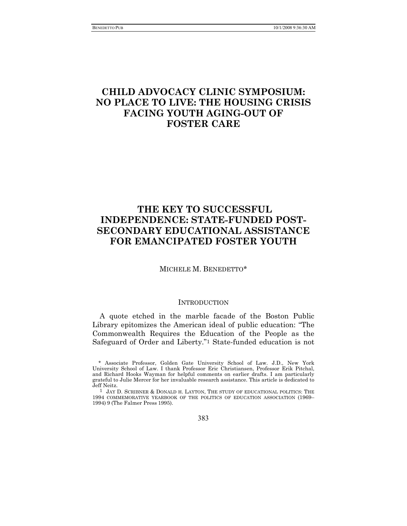# **CHILD ADVOCACY CLINIC SYMPOSIUM: NO PLACE TO LIVE: THE HOUSING CRISIS FACING YOUTH AGING-OUT OF FOSTER CARE**

# **THE KEY TO SUCCESSFUL INDEPENDENCE: STATE-FUNDED POST-SECONDARY EDUCATIONAL ASSISTANCE FOR EMANCIPATED FOSTER YOUTH**

#### MICHELE M. BENEDETTO\*

#### **INTRODUCTION**

A quote etched in the marble facade of the Boston Public Library epitomizes the American ideal of public education: "The Commonwealth Requires the Education of the People as the Safeguard of Order and Liberty."1 State-funded education is not

383

<sup>\*</sup> Associate Professor, Golden Gate University School of Law. J.D., New York University School of Law. I thank Professor Eric Christiansen, Professor Erik Pitchal, and Richard Hooks Wayman for helpful comments on earlier drafts. I am particularly grateful to Julie Mercer for her invaluable research assistance. This article is dedicated to Jeff Neitz.

<sup>1</sup> JAY D. SCRIBNER & DONALD H. LAYTON, THE STUDY OF EDUCATIONAL POLITICS: THE 1994 COMMEMORATIVE YEARBOOK OF THE POLITICS OF EDUCATION ASSOCIATION (1969– 1994) 9 (The Falmer Press 1995).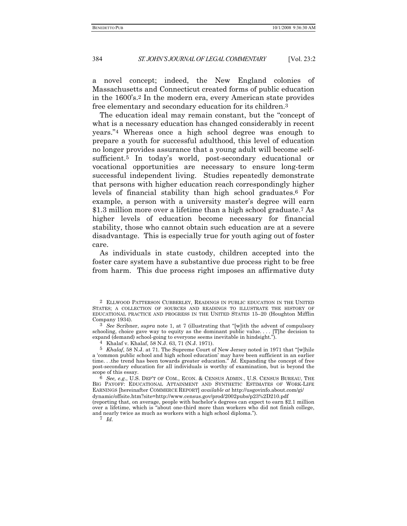a novel concept; indeed, the New England colonies of Massachusetts and Connecticut created forms of public education in the 1600's.2 In the modern era, every American state provides free elementary and secondary education for its children.3

The education ideal may remain constant, but the "concept of what is a necessary education has changed considerably in recent years."4 Whereas once a high school degree was enough to prepare a youth for successful adulthood, this level of education no longer provides assurance that a young adult will become selfsufficient.5 In today's world, post-secondary educational or vocational opportunities are necessary to ensure long-term successful independent living. Studies repeatedly demonstrate that persons with higher education reach correspondingly higher levels of financial stability than high school graduates.6 For example, a person with a university master's degree will earn \$1.3 million more over a lifetime than a high school graduate.7 As higher levels of education become necessary for financial stability, those who cannot obtain such education are at a severe disadvantage. This is especially true for youth aging out of foster care.

As individuals in state custody, children accepted into the foster care system have a substantive due process right to be free from harm. This due process right imposes an affirmative duty

3 *See* Scribner, *supra* note 1, at 7 (illustrating that "[w]ith the advent of compulsory schooling, choice gave way to equity as the dominant public value.... [T]he decision to expand (demand) school-going to everyone seems inevitable in hindsight.").

4 Khalaf v. Khalaf, 58 N.J. 63, 71 (N.J. 1971).

5 *Khalaf*, 58 N.J. at 71. The Supreme Court of New Jersey noted in 1971 that "[w]hile a 'common public school and high school education' may have been sufficient in an earlier time. . .the trend has been towards greater education." *Id*. Expanding the concept of free post-secondary education for all individuals is worthy of examination, but is beyond the scope of this essay.

6 *See, e.g.*, U.S. DEP'T OF COM., ECON. & CENSUS ADMIN., U.S. CENSUS BUREAU, THE BIG PAYOFF: EDUCATIONAL ATTAINMENT AND SYNTHETIC ESTIMATES OF WORK-LIFE EARNINGS [hereinafter COMMERCE REPORT] *available at* http://usgovinfo.about.com/gi/

dynamic/offsite.htm?site=http://www.census.gov/prod/2002pubs/p23%2D210.pdf

(reporting that, on average, people with bachelor's degrees can expect to earn \$2.1 million over a lifetime, which is "about one-third more than workers who did not finish college, and nearly twice as much as workers with a high school diploma.").

7 *Id.*

<sup>2</sup> ELLWOOD PATTERSON CUBBERLEY, READINGS IN PUBLIC EDUCATION IN THE UNITED STATES; A COLLECTION OF SOURCES AND READINGS TO ILLUSTRATE THE HISTORY OF EDUCATIONAL PRACTICE AND PROGRESS IN THE UNITED STATES 15–20 (Houghton Mifflin Company 1934).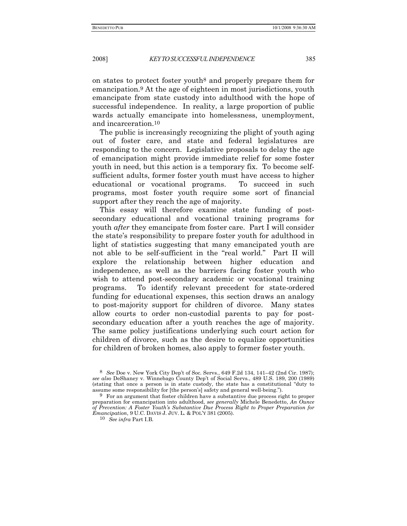on states to protect foster youth8 and properly prepare them for emancipation.9 At the age of eighteen in most jurisdictions, youth emancipate from state custody into adulthood with the hope of successful independence. In reality, a large proportion of public wards actually emancipate into homelessness, unemployment, and incarceration.10

The public is increasingly recognizing the plight of youth aging out of foster care, and state and federal legislatures are responding to the concern. Legislative proposals to delay the age of emancipation might provide immediate relief for some foster youth in need, but this action is a temporary fix. To become selfsufficient adults, former foster youth must have access to higher educational or vocational programs. To succeed in such programs, most foster youth require some sort of financial support after they reach the age of majority.

This essay will therefore examine state funding of postsecondary educational and vocational training programs for youth *after* they emancipate from foster care. Part I will consider the state's responsibility to prepare foster youth for adulthood in light of statistics suggesting that many emancipated youth are not able to be self-sufficient in the "real world." Part II will explore the relationship between higher education and independence, as well as the barriers facing foster youth who wish to attend post-secondary academic or vocational training programs. To identify relevant precedent for state-ordered funding for educational expenses, this section draws an analogy to post-majority support for children of divorce. Many states allow courts to order non-custodial parents to pay for postsecondary education after a youth reaches the age of majority. The same policy justifications underlying such court action for children of divorce, such as the desire to equalize opportunities for children of broken homes, also apply to former foster youth.

<sup>8</sup> *See* Doe v. New York City Dep't of Soc. Servs*.*, 649 F.2d 134, 141–42 (2nd Cir. 1987); *see also* DeShaney v. Winnebago County Dep't of Social Servs*.*, 489 U.S. 189, 200 (1989) (stating that once a person is in state custody, the state has a constitutional "duty to assume some responsibility for [the person's] safety and general well-being.").

<sup>9</sup> For an argument that foster children have a substantive due process right to proper preparation for emancipation into adulthood, *see generally* Michele Benedetto, *An Ounce of Prevention: A Foster Youth's Substantive Due Process Right to Proper Preparation for Emancipation*, 9 U.C. DAVIS J. JUV. L. & POL'Y 381 (2005).

<sup>10</sup> *See infra* Part I.B*.*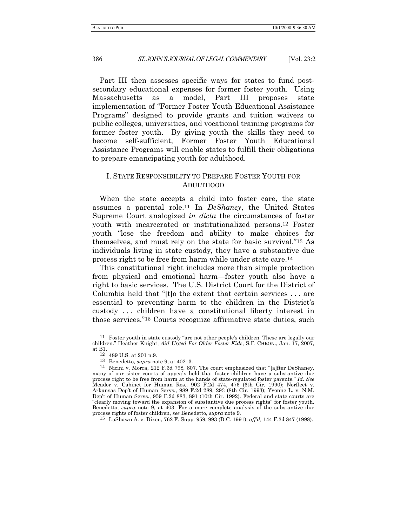Part III then assesses specific ways for states to fund postsecondary educational expenses for former foster youth. Using Massachusetts as a model, Part III proposes state implementation of "Former Foster Youth Educational Assistance Programs" designed to provide grants and tuition waivers to public colleges, universities, and vocational training programs for former foster youth. By giving youth the skills they need to become self-sufficient, Former Foster Youth Educational Assistance Programs will enable states to fulfill their obligations to prepare emancipating youth for adulthood.

### I. STATE RESPONSIBILITY TO PREPARE FOSTER YOUTH FOR ADULTHOOD

When the state accepts a child into foster care, the state assumes a parental role.11 In *DeShaney*, the United States Supreme Court analogized *in dicta* the circumstances of foster youth with incarcerated or institutionalized persons.12 Foster youth "lose the freedom and ability to make choices for themselves, and must rely on the state for basic survival."13 As individuals living in state custody, they have a substantive due process right to be free from harm while under state care.14

This constitutional right includes more than simple protection from physical and emotional harm—foster youth also have a right to basic services. The U.S. District Court for the District of Columbia held that "[t]o the extent that certain services . . . are essential to preventing harm to the children in the District's custody . . . children have a constitutional liberty interest in those services."15 Courts recognize affirmative state duties, such

13 Benedetto, *supra* note 9, at 402–3.

15 LaShawn A. v. Dixon, 762 F. Supp. 959, 993 (D.C. 1991), *aff'd,* 144 F.3d 847 (1998).

<sup>11</sup> Foster youth in state custody "are not other people's children. These are legally our children." Heather Knight, *Aid Urged For Older Foster Kids*, S.F. CHRON., Jan. 17, 2007, at B1.

<sup>12</sup> 489 U.S. at 201 n.9.

<sup>14</sup> Nicini v. Morra, 212 F.3d 798*,* 807. The court emphasized that "[a]fter DeShaney, many of our sister courts of appeals held that foster children have a substantive due process right to be free from harm at the hands of state-regulated foster parents." *Id*. *See*  Meador v. Cabinet for Human Res*.*, 902 F.2d 474, 476 (6th Cir. 1990); Norfleet v. Arkansas Dep't of Human Servs*.*, 989 F.2d 289, 293 (8th Cir. 1993); Yvonne L. v. N.M. Dep't of Human Servs*.*, 959 F.2d 883, 891 (10th Cir. 1992). Federal and state courts are "clearly moving toward the expansion of substantive due process rights" for foster youth. Benedetto, *supra* note 9, at 403. For a more complete analysis of the substantive due process rights of foster children, *see* Benedetto, *supra* note 9.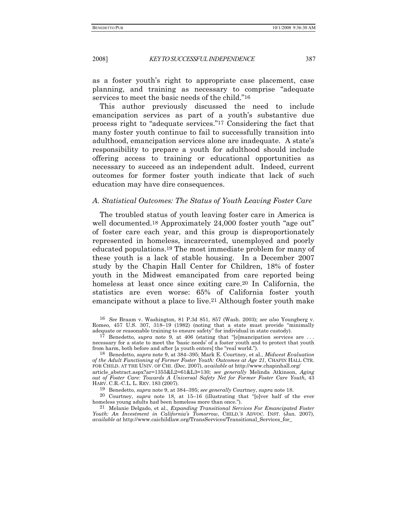as a foster youth's right to appropriate case placement, case planning, and training as necessary to comprise "adequate services to meet the basic needs of the child."16

This author previously discussed the need to include emancipation services as part of a youth's substantive due process right to "adequate services."17 Considering the fact that many foster youth continue to fail to successfully transition into adulthood, emancipation services alone are inadequate. A state's responsibility to prepare a youth for adulthood should include offering access to training or educational opportunities as necessary to succeed as an independent adult. Indeed, current outcomes for former foster youth indicate that lack of such education may have dire consequences.

#### *A. Statistical Outcomes: The Status of Youth Leaving Foster Care*

The troubled status of youth leaving foster care in America is well documented.<sup>18</sup> Approximately 24,000 foster youth "age out" of foster care each year, and this group is disproportionately represented in homeless, incarcerated, unemployed and poorly educated populations.19 The most immediate problem for many of these youth is a lack of stable housing. In a December 2007 study by the Chapin Hall Center for Children, 18% of foster youth in the Midwest emancipated from care reported being homeless at least once since exiting care.<sup>20</sup> In California, the statistics are even worse: 65% of California foster youth emancipate without a place to live.21 Although foster youth make

<sup>16</sup> *See* Braam v. Washington, 81 P.3d 851, 857 (Wash. 2003); *see also* Youngberg v. Romeo, 457 U.S. 307, 318–19 (1982) (noting that a state must provide "minimally adequate or reasonable training to ensure safety" for individual in state custody).

<sup>17</sup> Benedetto, *supra* note 9, at 406 (stating that "[e]mancipation services are . . . necessary for a state to meet the 'basic needs' of a foster youth and to protect that youth from harm, both before and after [a youth enters] the "real world.").

<sup>18</sup> Benedetto, *supra* note 9, at 384–395; Mark E. Courtney, et al., *Midwest Evaluation of the Adult Functioning of Former Foster Youth: Outcomes at Age 21*, CHAPIN HALL CTR. FOR CHILD. AT THE UNIV. OF CHI. (Dec. 2007), *available at* http://www.chapinhall.org/ article\_abstract.aspx?ar=1355&L2=61&L3=130; *see generally* Melinda Atkinson, *Aging* 

*out of Foster Care: Towards A Universal Safety Net for Former Foster Care Youth,* 43 HARV. C.R.-C.L. L. REV. 183 (2007).

<sup>19</sup> Benedetto, *supra* note 9, at 384–395; *see generally* Courtney, *supra* note 18.

<sup>20</sup> Courtney, *supra* note 18, at 15–16 (illustrating that "[o]ver half of the ever homeless young adults had been homeless more than once.").

<sup>21</sup> Melanie Delgado, et al., *Expanding Transitional Services For Emancipated Foster Youth: An Investment in California's Tomorrow*, CHILD.'S ADVOC. INST. (Jan. 2007), *available at* http://www.caichildlaw.org/TransServices/Transitional\_Services\_for\_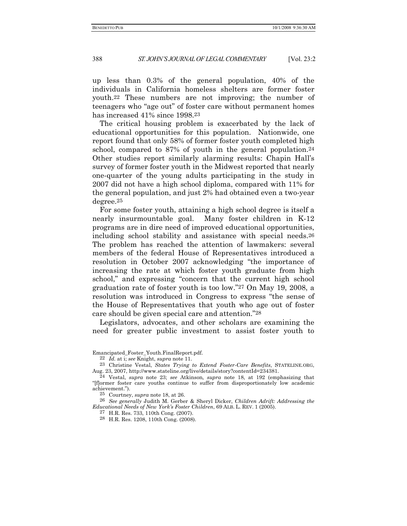up less than 0.3% of the general population, 40% of the individuals in California homeless shelters are former foster youth.22 These numbers are not improving; the number of teenagers who "age out" of foster care without permanent homes has increased 41% since 1998.23

The critical housing problem is exacerbated by the lack of educational opportunities for this population. Nationwide, one report found that only 58% of former foster youth completed high school, compared to 87% of youth in the general population.<sup>24</sup> Other studies report similarly alarming results: Chapin Hall's survey of former foster youth in the Midwest reported that nearly one-quarter of the young adults participating in the study in 2007 did not have a high school diploma, compared with 11% for the general population, and just 2% had obtained even a two-year degree.25

For some foster youth, attaining a high school degree is itself a nearly insurmountable goal. Many foster children in K-12 programs are in dire need of improved educational opportunities, including school stability and assistance with special needs.26 The problem has reached the attention of lawmakers: several members of the federal House of Representatives introduced a resolution in October 2007 acknowledging "the importance of increasing the rate at which foster youth graduate from high school," and expressing "concern that the current high school graduation rate of foster youth is too low."27 On May 19, 2008, a resolution was introduced in Congress to express "the sense of the House of Representatives that youth who age out of foster care should be given special care and attention."28

Legislators, advocates, and other scholars are examining the need for greater public investment to assist foster youth to

23 Christine Vestal, *States Trying to Extend Foster-Care Benefits*, STATELINE.ORG, Aug. 23, 2007, http://www.stateline.org/live/details/story?contentId=234381.

25 Courtney, *supra* note 18, at 26.

26 *See generally* Judith M. Gerber & Sheryl Dicker, *Children Adrift: Addressing the Educational Needs of New York's Foster Children*, 69 ALB. L. REV. 1 (2005).

27 H.R. Res. 733, 110th Cong. (2007).

28 H.R. Res. 1208, 110th Cong. (2008).

Emancipated\_Foster\_Youth.FinalReport.pdf.

<sup>22</sup> *Id.* at i; *see* Knight, *supra* note 11.

<sup>24</sup> Vestal, *supra* note 23; *see* Atkinson*, supra* note 18, at 192 (emphasizing that "[f]ormer foster care youths continue to suffer from disproportionately low academic achievement.").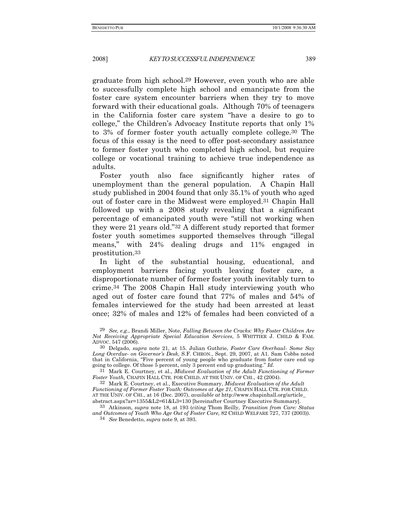graduate from high school.29 However, even youth who are able to successfully complete high school and emancipate from the foster care system encounter barriers when they try to move forward with their educational goals. Although 70% of teenagers in the California foster care system "have a desire to go to college," the Children's Advocacy Institute reports that only 1% to 3% of former foster youth actually complete college.30 The focus of this essay is the need to offer post-secondary assistance to former foster youth who completed high school, but require college or vocational training to achieve true independence as adults.

Foster youth also face significantly higher rates of unemployment than the general population. A Chapin Hall study published in 2004 found that only 35.1% of youth who aged out of foster care in the Midwest were employed.31 Chapin Hall followed up with a 2008 study revealing that a significant percentage of emancipated youth were "still not working when they were 21 years old."32 A different study reported that former foster youth sometimes supported themselves through "illegal means," with 24% dealing drugs and 11% engaged in prostitution.33

In light of the substantial housing, educational, and employment barriers facing youth leaving foster care, a disproportionate number of former foster youth inevitably turn to crime.34 The 2008 Chapin Hall study interviewing youth who aged out of foster care found that 77% of males and 54% of females interviewed for the study had been arrested at least once; 32% of males and 12% of females had been convicted of a

<sup>31</sup> Mark E. Courtney, et al., *Midwest Evaluation of the Adult Functioning of Former Foster Youth,* CHAPIN HALL CTR. FOR CHILD. AT THE UNIV. OF CHI., 42 (2004).

32 Mark E. Courtney, et al., Executive Summary, *Midwest Evaluation of the Adult Functioning of Former Foster Youth: Outcomes at Age 21*, CHAPIN HALL CTR. FOR CHILD. AT THE UNIV. OF CHI., at 16 (Dec. 2007), *available at* http://www.chapinhall.org/article\_ abstract.aspx?ar=1355&L2=61&L3=130 [hereinafter Courtney Executive Summary].

33 Atkinson, *supra* note 18, at 193 (*citing* Thom Reilly, *Transition from Care: Status and Outcomes of Youth Who Age Out of Foster Care,* 82 CHILD WELFARE 727, 737 (2003)).

34 *See* Benedetto, *supra* note 9, at 393.

<sup>29</sup> *See, e.g*., Brandi Miller, Note, *Falling Between the Cracks: Why Foster Children Are Not Receiving Appropriate Special Education Services*, 5 WHITTIER J. CHILD & FAM. ADVOC. 547 (2006).

<sup>30</sup> Delgado, *supra* note 21, at 15. Julian Guthrie, *Foster Care Overhaul- Some Say Long Overdue- on Governor's Desk*, S.F. CHRON., Sept. 29, 2007, at A1. Sam Cobbs noted that in California, "Five percent of young people who graduate from foster care end up going to college. Of those 5 percent, only 3 percent end up graduating."  $Id$ .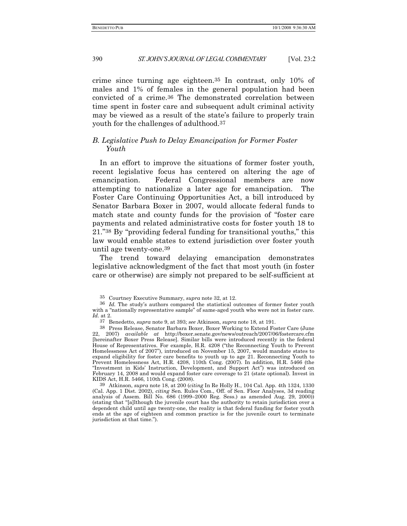crime since turning age eighteen.35 In contrast, only 10% of males and 1% of females in the general population had been convicted of a crime.36 The demonstrated correlation between time spent in foster care and subsequent adult criminal activity may be viewed as a result of the state's failure to properly train youth for the challenges of adulthood.37

#### *B. Legislative Push to Delay Emancipation for Former Foster Youth*

In an effort to improve the situations of former foster youth, recent legislative focus has centered on altering the age of emancipation. Federal Congressional members are now attempting to nationalize a later age for emancipation. The Foster Care Continuing Opportunities Act, a bill introduced by Senator Barbara Boxer in 2007, would allocate federal funds to match state and county funds for the provision of "foster care payments and related administrative costs for foster youth 18 to 21."38 By "providing federal funding for transitional youths," this law would enable states to extend jurisdiction over foster youth until age twenty-one.39

The trend toward delaying emancipation demonstrates legislative acknowledgment of the fact that most youth (in foster care or otherwise) are simply not prepared to be self-sufficient at

39 Atkinson, *supra* note 18, at 200 (*citing* In Re Holly H*.*, 104 Cal. App. 4th 1324, 1330 (Cal. App. 1 Dist. 2002), *citing* Sen. Rules Com., Off. of Sen. Floor Analyses, 3d reading analysis of Assem. Bill No. 686 (1999–2000 Reg. Sess.) as amended Aug. 29, 2000)) (stating that "[a]lthough the juvenile court has the authority to retain jurisdiction over a dependent child until age twenty-one, the reality is that federal funding for foster youth ends at the age of eighteen and common practice is for the juvenile court to terminate jurisdiction at that time.").

<sup>35</sup> Courtney Executive Summary, *supra* note 32, at 12.

<sup>36</sup> *Id.* The study's authors compared the statistical outcomes of former foster youth with a "nationally representative sample" of same-aged youth who were not in foster care. *Id.* at 2.

<sup>37</sup> Benedetto, *supra* note 9, at 393; *see* Atkinson, *supra* note 18, at 191.

<sup>38</sup> Press Release, Senator Barbara Boxer, Boxer Working to Extend Foster Care (June 22, 2007) *available at* http://boxer.senate.gov/news/outreach/2007/06/fostercare.cfm [hereinafter Boxer Press Release]. Similar bills were introduced recently in the federal House of Representatives. For example, H.R. 4208 ("the Reconnecting Youth to Prevent Homelessness Act of 2007"), introduced on November 15, 2007, would mandate states to expand eligibility for foster care benefits to youth up to age 21. Reconnecting Youth to Prevent Homelessness Act, H.R. 4208, 110th Cong. (2007). In addition, H.R. 5466 (the "Investment in Kids' Instruction, Development, and Support Act") was introduced on February 14, 2008 and would expand foster care coverage to 21 (state optional). Invest in KIDS Act, H.R. 5466, 110th Cong. (2008).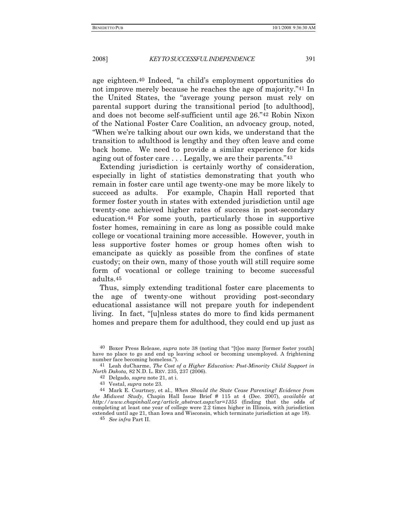age eighteen.40 Indeed, "a child's employment opportunities do not improve merely because he reaches the age of majority."41 In the United States, the "average young person must rely on parental support during the transitional period [to adulthood], and does not become self-sufficient until age 26."42 Robin Nixon of the National Foster Care Coalition, an advocacy group, noted, "When we're talking about our own kids, we understand that the transition to adulthood is lengthy and they often leave and come back home. We need to provide a similar experience for kids aging out of foster care . . . Legally, we are their parents."43

Extending jurisdiction is certainly worthy of consideration, especially in light of statistics demonstrating that youth who remain in foster care until age twenty-one may be more likely to succeed as adults. For example, Chapin Hall reported that former foster youth in states with extended jurisdiction until age twenty-one achieved higher rates of success in post-secondary education.44 For some youth, particularly those in supportive foster homes, remaining in care as long as possible could make college or vocational training more accessible. However, youth in less supportive foster homes or group homes often wish to emancipate as quickly as possible from the confines of state custody; on their own, many of those youth will still require some form of vocational or college training to become successful adults.45

Thus, simply extending traditional foster care placements to the age of twenty-one without providing post-secondary educational assistance will not prepare youth for independent living. In fact, "[u]nless states do more to find kids permanent homes and prepare them for adulthood, they could end up just as

45 *See infra* Part II.

<sup>40</sup> Boxer Press Release, *supra* note 38 (noting that "[t]oo many [former foster youth] have no place to go and end up leaving school or becoming unemployed. A frightening number face becoming homeless.").

<sup>41</sup> Leah duCharme, *The Cost of a Higher Education: Post-Minority Child Support in North Dakota,* 82 N.D. L. REV. 235, 237 (2006).

<sup>42</sup> Delgado, *supra* note 21, at i.

<sup>43</sup> Vestal, *supra* note 23.

<sup>44</sup> Mark E. Courtney, et al., *When Should the State Cease Parenting? Evidence from the Midwest Study*, Chapin Hall Issue Brief # 115 at 4 (Dec. 2007), *available at http://www.chapinhall.org/article\_abstract.aspx?ar=1355* (finding that the odds of completing at least one year of college were 2.2 times higher in Illinois, with jurisdiction extended until age 21, than Iowa and Wisconsin, which terminate jurisdiction at age 18).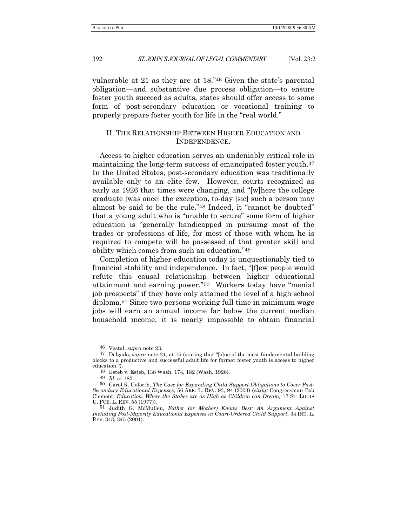vulnerable at 21 as they are at 18."46 Given the state's parental obligation—and substantive due process obligation—to ensure foster youth succeed as adults, states should offer access to some form of post-secondary education or vocational training to properly prepare foster youth for life in the "real world."

#### II. THE RELATIONSHIP BETWEEN HIGHER EDUCATION AND INDEPENDENCE.

Access to higher education serves an undeniably critical role in maintaining the long-term success of emancipated foster youth.47 In the United States, post-secondary education was traditionally available only to an elite few. However, courts recognized as early as 1926 that times were changing, and "[w]here the college graduate [was once] the exception, to-day [sic] such a person may almost be said to be the rule."48 Indeed, it "cannot be doubted" that a young adult who is "unable to secure" some form of higher education is "generally handicapped in pursuing most of the trades or professions of life, for most of those with whom he is required to compete will be possessed of that greater skill and ability which comes from such an education."49

Completion of higher education today is unquestionably tied to financial stability and independence. In fact, "[f]ew people would refute this causal relationship between higher educational attainment and earning power."50 Workers today have "menial job prospects" if they have only attained the level of a high school diploma.51 Since two persons working full time in minimum wage jobs will earn an annual income far below the current median household income, it is nearly impossible to obtain financial

46 Vestal, *supra* note 23.

48 Esteb v. Esteb*,* 138 Wash. 174, 182 (Wash. 1926).

49 *Id.* at 183.

<sup>47</sup> Delgado, *supra* note 21, at 15 (stating that "[o]ne of the most fundamental building blocks to a productive and successful adult life for former foster youth is access to higher education.").

<sup>50</sup> Carol R. Goforth, *The Case for Expanding Child Support Obligations to Cover Post-Secondary Educational Expenses*, 56 ARK. L. REV. 93, 94 (2003) (*citing* Congressman Bob Clement, *Education: Where the Stakes are as High as Children can Dream,* 17 ST. LOUIS U. PUB. L. REV. 55 (1977)).

<sup>51</sup> Judith G. McMullen, *Father (or Mother) Knows Best: An Argument Against Including Post-Majority Educational Expenses in Court-Ordered Child Support*, 34 IND. L. REV. 343, 345 (2001).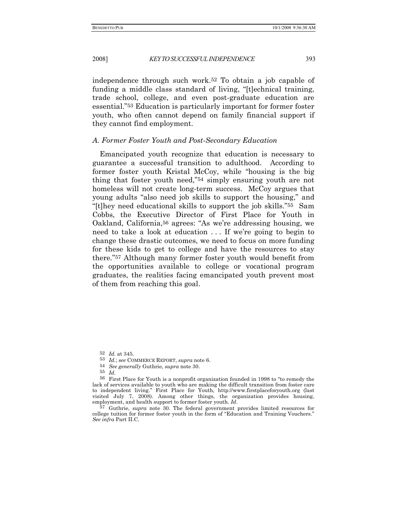independence through such work.52 To obtain a job capable of funding a middle class standard of living, "[t]echnical training, trade school, college, and even post-graduate education are essential."53 Education is particularly important for former foster youth, who often cannot depend on family financial support if they cannot find employment.

#### *A. Former Foster Youth and Post-Secondary Education*

Emancipated youth recognize that education is necessary to guarantee a successful transition to adulthood. According to former foster youth Kristal McCoy, while "housing is the big thing that foster youth need,"54 simply ensuring youth are not homeless will not create long-term success. McCoy argues that young adults "also need job skills to support the housing," and "[t]hey need educational skills to support the job skills."55 Sam Cobbs, the Executive Director of First Place for Youth in Oakland, California,56 agrees: "As we're addressing housing, we need to take a look at education . . . If we're going to begin to change these drastic outcomes, we need to focus on more funding for these kids to get to college and have the resources to stay there."57 Although many former foster youth would benefit from the opportunities available to college or vocational program graduates, the realities facing emancipated youth prevent most of them from reaching this goal.

- 53 *Id.*; *see* COMMERCE REPORT, *supra* note 6.
- 54 *See generally* Guthrie, *supra* note 30.
- 

<sup>55</sup> *Id*. 56 First Place for Youth is a nonprofit organization founded in 1998 to "to remedy the lack of services available to youth who are making the difficult transition from foster care to independent living." First Place for Youth, http://www.firstplaceforyouth.org (last visited July 7, 2008). Among other things, the organization provides housing, employment, and health support to former foster youth.  $Id$ .

<sup>57</sup> Guthrie, *supra* note 30. The federal government provides limited resources for college tuition for former foster youth in the form of "Education and Training Vouchers." *See infra* Part II.C.

<sup>52</sup> *Id.* at 345.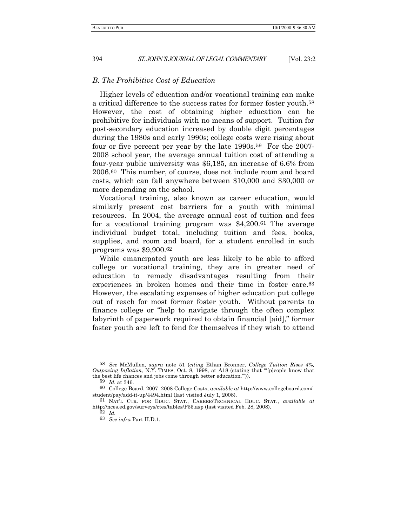#### *B. The Prohibitive Cost of Education*

Higher levels of education and/or vocational training can make a critical difference to the success rates for former foster youth.58 However, the cost of obtaining higher education can be prohibitive for individuals with no means of support. Tuition for post-secondary education increased by double digit percentages during the 1980s and early 1990s; college costs were rising about four or five percent per year by the late 1990s.59 For the 2007- 2008 school year, the average annual tuition cost of attending a four-year public university was \$6,185, an increase of 6.6% from 2006.60 This number, of course, does not include room and board costs, which can fall anywhere between \$10,000 and \$30,000 or more depending on the school.

Vocational training, also known as career education, would similarly present cost barriers for a youth with minimal resources. In 2004, the average annual cost of tuition and fees for a vocational training program was \$4,200.61 The average individual budget total, including tuition and fees, books, supplies, and room and board, for a student enrolled in such programs was \$9,900.62

While emancipated youth are less likely to be able to afford college or vocational training, they are in greater need of education to remedy disadvantages resulting from their experiences in broken homes and their time in foster care.63 However, the escalating expenses of higher education put college out of reach for most former foster youth. Without parents to finance college or "help to navigate through the often complex labyrinth of paperwork required to obtain financial [aid]," former foster youth are left to fend for themselves if they wish to attend

60 College Board, 2007–2008 College Costs, *available at* http://www.collegeboard.com/ student/pay/add-it-up/4494.html (last visited July 1, 2008).

61 NAT'L CTR. FOR EDUC. STAT., CAREER/TECHNICAL EDUC. STAT., *available at* http://nces.ed.gov/surveys/ctes/tables/P55.asp (last visited Feb. 28, 2008).

<sup>58</sup> *See* McMullen, *supra* note 51 (*citing* Ethan Bronner, *College Tuition Rises 4%, Outpacing Inflation,* N.Y. TIMES, Oct. 8, 1998, at A18 (stating that "'[p]eople know that the best life chances and jobs come through better education.'")).

<sup>59</sup> *Id.* at 346.

<sup>62</sup> *Id.*

<sup>63</sup> *See infra* Part II.D.1.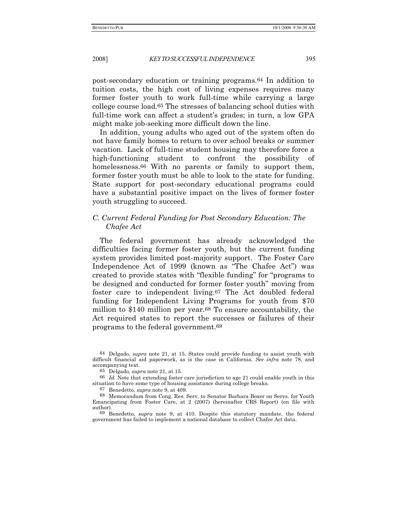post-secondary education or training programs.64 In addition to tuition costs, the high cost of living expenses requires many former foster youth to work full-time while carrying a large college course load.65 The stresses of balancing school duties with full-time work can affect a student's grades; in turn, a low GPA might make job-seeking more difficult down the line.

In addition, young adults who aged out of the system often do not have family homes to return to over school breaks or summer vacation. Lack of full-time student housing may therefore force a high-functioning student to confront the possibility of homelessness.<sup>66</sup> With no parents or family to support them, former foster youth must be able to look to the state for funding. State support for post-secondary educational programs could have a substantial positive impact on the lives of former foster youth struggling to succeed.

### *C. Current Federal Funding for Post Secondary Education: The Chafee Act*

The federal government has already acknowledged the difficulties facing former foster youth, but the current funding system provides limited post-majority support.The Foster Care Independence Act of 1999 (known as "The Chafee Act") was created to provide states with "flexible funding" for "programs to be designed and conducted for former foster youth" moving from foster care to independent living.67 The Act doubled federal funding for Independent Living Programs for youth from \$70 million to \$140 million per year.68 To ensure accountability, the Act required states to report the successes or failures of their programs to the federal government.69

67 Benedetto, *supra* note 9, at 409.

69 Benedetto, *supra* note 9, at 410. Despite this statutory mandate, the federal government has failed to implement a national database to collect Chafee Act data.

<sup>64</sup> Delgado, *supra* note 21, at 15. States could provide funding to assist youth with difficult financial aid paperwork, as is the case in California. *See infra* note 78, and accompanying text.

<sup>65</sup> Delgado, *supra* note 21, at 15.

<sup>66</sup> *Id.* Note that extending foster care jurisdiction to age 21 could enable youth in this situation to have some type of housing assistance during college breaks.

<sup>68</sup> Memorandum from Cong. Res. Serv. to Senator Barbara Boxer on Servs. for Youth Emancipating from Foster Care, at 2 (2007) (hereinafter CRS Report) (on file with author).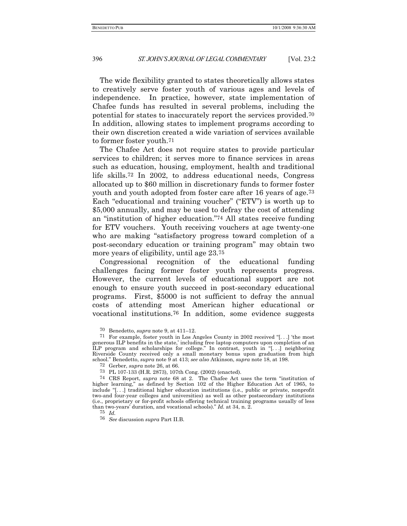The wide flexibility granted to states theoretically allows states to creatively serve foster youth of various ages and levels of independence. In practice, however, state implementation of Chafee funds has resulted in several problems, including the potential for states to inaccurately report the services provided.70 In addition, allowing states to implement programs according to their own discretion created a wide variation of services available to former foster youth.71

The Chafee Act does not require states to provide particular services to children; it serves more to finance services in areas such as education, housing, employment, health and traditional life skills.72 In 2002, to address educational needs, Congress allocated up to \$60 million in discretionary funds to former foster youth and youth adopted from foster care after 16 years of age.73 Each "educational and training voucher" ("ETV") is worth up to \$5,000 annually, and may be used to defray the cost of attending an "institution of higher education."74 All states receive funding for ETV vouchers. Youth receiving vouchers at age twenty-one who are making "satisfactory progress toward completion of a post-secondary education or training program" may obtain two more years of eligibility, until age 23.75

Congressional recognition of the educational funding challenges facing former foster youth represents progress. However, the current levels of educational support are not enough to ensure youth succeed in post-secondary educational programs. First, \$5000 is not sufficient to defray the annual costs of attending most American higher educational or vocational institutions.76 In addition, some evidence suggests

72 Gerber, *supra* note 26, at 66.

75 *Id.*

76 *See* discussion *supra* Part II.B.

<sup>70</sup> Benedetto, *supra* note 9, at 411–12.

<sup>71</sup> For example, foster youth in Los Angeles County in 2002 received "[. . .] 'the most generous ILP benefits in the state,' including free laptop computers upon completion of an ILP program and scholarships for college." In contrast, youth in "[. . .] neighboring Riverside County received only a small monetary bonus upon graduation from high school." Benedetto, *supra* note 9 at 413; *see also* Atkinson, *supra* note 18, at 198.

<sup>73</sup> PL 107-133 (H.R. 2873), 107th Cong. (2002) (enacted).

<sup>74</sup> CRS Report, *supra* note 68 at 2. The Chafee Act uses the term "institution of higher learning," as defined by Section 102 of the Higher Education Act of 1965, to include "[. . .] traditional higher education institutions (i.e., public or private, nonprofit two-and four-year colleges and universities) as well as other postsecondary institutions (i.e., proprietary or for-profit schools offering technical training programs usually of less than two-years' duration, and vocational schools)." *Id.* at 34, n. 2.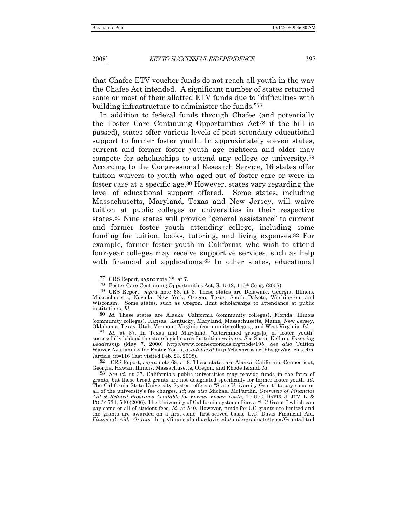that Chafee ETV voucher funds do not reach all youth in the way the Chafee Act intended. A significant number of states returned some or most of their allotted ETV funds due to "difficulties with building infrastructure to administer the funds."77

In addition to federal funds through Chafee (and potentially the Foster Care Continuing Opportunities Act78 if the bill is passed), states offer various levels of post-secondary educational support to former foster youth. In approximately eleven states, current and former foster youth age eighteen and older may compete for scholarships to attend any college or university.79 According to the Congressional Research Service, 16 states offer tuition waivers to youth who aged out of foster care or were in foster care at a specific age.80 However, states vary regarding the level of educational support offered. Some states, including Massachusetts, Maryland, Texas and New Jersey, will waive tuition at public colleges or universities in their respective states.81 Nine states will provide "general assistance" to current and former foster youth attending college, including some funding for tuition, books, tutoring, and living expenses.82 For example, former foster youth in California who wish to attend four-year colleges may receive supportive services, such as help with financial aid applications.<sup>83</sup> In other states, educational

77 CRS Report, *supra* note 68, at 7.

78 Foster Care Continuing Opportunities Act, S. 1512, 110th Cong. (2007).

79 CRS Report, *supra* note 68, at 8. These states are Delaware, Georgia, Illinois, Massachusetts, Nevada, New York, Oregon, Texas, South Dakota, Washington, and Wisconsin. Some states, such as Oregon, limit scholarships to attendance at public institutions. *Id.* 

80 *Id.* These states are Alaska, California (community colleges), Florida, Illinois (community colleges), Kansas, Kentucky, Maryland, Massachusetts, Maine, New Jersey, Oklahoma, Texas, Utah, Vermont, Virginia (community colleges), and West Virginia. *Id*.

81 *Id.* at 37. In Texas and Maryland, "determined groups[s] of foster youth" successfully lobbied the state legislatures for tuition waivers. *See* Susan Kellam, *Fostering Leadership* (May 7, 2000) http://www.connectforkids.org/node/195. *See also* Tuition Waiver Availability for Foster Youth, *available at* http://cbexpress.acf.hhs.gov/articles.cfm ?article\_id=116 (last visited Feb. 23, 2008).

<sup>82</sup> CRS Report, *supra* note 68, at 8. These states are Alaska, California, Connecticut, Georgia, Hawaii, Illinois, Massachusetts, Oregon, and Rhode Island. *Id.* 

 $83$  *See id.* at 37. California's public universities may provide funds in the form of grants, but these broad grants are not designated specifically for former foster youth. *Id*. The California State University System offers a "State University Grant" to pay some or all of the university's fee charges. *Id*; *see also* Michael McPartlin, *Overview of Financial Aid & Related Programs Available for Former Foster Youth,* 10 U.C. DAVIS. J. JUV. L. & POL'Y 534, 540 (2006). The University of California system offers a "UC Grant," which can pay some or all of student fees. *Id*. at 540. However, funds for UC grants are limited and the grants are awarded on a first-come, first-served basis. U.C. Davis Financial Aid, *Financial Aid: Grants*, http://financialaid.ucdavis.edu/undergraduate/types/Grants.html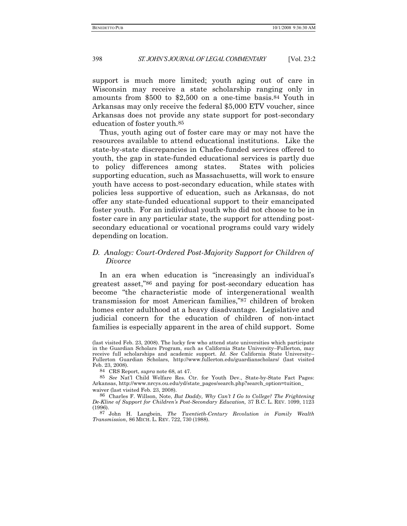support is much more limited; youth aging out of care in Wisconsin may receive a state scholarship ranging only in amounts from \$500 to \$2,500 on a one-time basis.84 Youth in Arkansas may only receive the federal \$5,000 ETV voucher, since Arkansas does not provide any state support for post-secondary education of foster youth.85

Thus, youth aging out of foster care may or may not have the resources available to attend educational institutions. Like the state-by-state discrepancies in Chafee-funded services offered to youth, the gap in state-funded educational services is partly due to policy differences among states. States with policies supporting education, such as Massachusetts, will work to ensure youth have access to post-secondary education, while states with policies less supportive of education, such as Arkansas, do not offer any state-funded educational support to their emancipated foster youth. For an individual youth who did not choose to be in foster care in any particular state, the support for attending postsecondary educational or vocational programs could vary widely depending on location.

#### *D. Analogy: Court-Ordered Post-Majority Support for Children of Divorce*

In an era when education is "increasingly an individual's greatest asset,"86 and paying for post-secondary education has become "the characteristic mode of intergenerational wealth transmission for most American families,"87 children of broken homes enter adulthood at a heavy disadvantage. Legislative and judicial concern for the education of children of non-intact families is especially apparent in the area of child support. Some

84 CRS Report, *supra* note 68, at 47.

85 *See* Nat'l Child Welfare Res. Ctr. for Youth Dev., State-by-State Fact Pages: Arkansas, http://www.nrcys.ou.edu/yd/state\_pages/search.php?search\_option=tuition\_ waiver (last visited Feb. 23, 2008).

86 Charles F. Willson, Note, *But Daddy, Why Can't I Go to College? The Frightening De-Kline of Support for Children's Post-Secondary Education,* 37 B.C. L. REV. 1099, 1123 (1996).

87 John H. Langbein, *The Twentieth-Century Revolution in Family Wealth Transmission*, 86 MICH. L. REV. 722, 730 (1988).

<sup>(</sup>last visited Feb. 23, 2008). The lucky few who attend state universities which participate in the Guardian Scholars Program, such as California State University–Fullerton, may receive full scholarships and academic support. *Id*. *See* California State University– Fullerton Guardian Scholars, http://www.fullerton.edu/guardianscholars/ (last visited Feb. 23, 2008).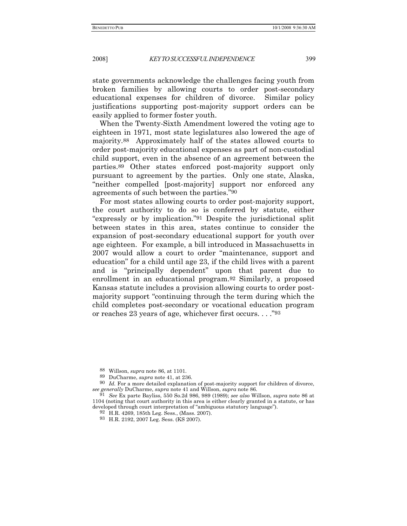state governments acknowledge the challenges facing youth from broken families by allowing courts to order post-secondary educational expenses for children of divorce. Similar policy justifications supporting post-majority support orders can be easily applied to former foster youth.

When the Twenty-Sixth Amendment lowered the voting age to eighteen in 1971, most state legislatures also lowered the age of majority.88 Approximately half of the states allowed courts to order post-majority educational expenses as part of non-custodial child support, even in the absence of an agreement between the parties.89 Other states enforced post-majority support only pursuant to agreement by the parties. Only one state, Alaska, "neither compelled [post-majority] support nor enforced any agreements of such between the parties."90

For most states allowing courts to order post-majority support, the court authority to do so is conferred by statute, either "expressly or by implication."91 Despite the jurisdictional split between states in this area, states continue to consider the expansion of post-secondary educational support for youth over age eighteen. For example, a bill introduced in Massachusetts in 2007 would allow a court to order "maintenance, support and education" for a child until age 23, if the child lives with a parent and is "principally dependent" upon that parent due to enrollment in an educational program.92 Similarly, a proposed Kansas statute includes a provision allowing courts to order postmajority support "continuing through the term during which the child completes post-secondary or vocational education program or reaches 23 years of age, whichever first occurs. . . ."93

88 Willson, *supra* note 86, at 1101.

89 DuCharme, *supra* note 41, at 236.

<sup>90</sup> *Id.* For a more detailed explanation of post-majority support for children of divorce, *see generally* DuCharme, *supra* note 41 and Willson, *supra* note 86.

91 *See* Ex parte Bayliss, 550 So.2d 986, 989 (1989); *see also* Willson, *supra* note 86 at 1104 (noting that court authority in this area is either clearly granted in a statute, or has developed through court interpretation of "ambiguous statutory language").

93 H.R. 2192, 2007 Leg. Sess. (KS 2007).

<sup>92</sup> H.R. 4269, 185th Leg. Sess., (Mass. 2007).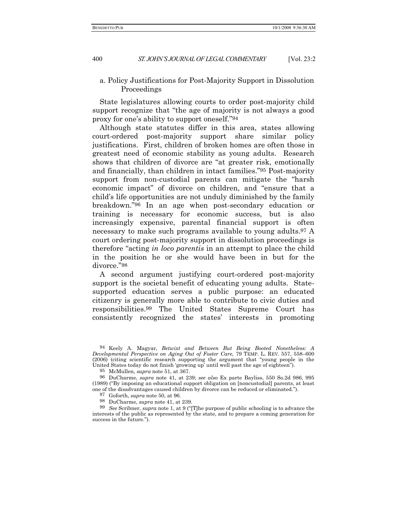a. Policy Justifications for Post-Majority Support in Dissolution Proceedings

State legislatures allowing courts to order post-majority child support recognize that "the age of majority is not always a good proxy for one's ability to support oneself."94

Although state statutes differ in this area, states allowing court-ordered post-majority support share similar policy justifications. First, children of broken homes are often those in greatest need of economic stability as young adults. Research shows that children of divorce are "at greater risk, emotionally and financially, than children in intact families."95 Post-majority support from non-custodial parents can mitigate the "harsh economic impact" of divorce on children, and "ensure that a child's life opportunities are not unduly diminished by the family breakdown."96 In an age when post-secondary education or training is necessary for economic success, but is also increasingly expensive, parental financial support is often necessary to make such programs available to young adults.97 A court ordering post-majority support in dissolution proceedings is therefore "acting *in loco parentis* in an attempt to place the child in the position he or she would have been in but for the divorce."98

A second argument justifying court-ordered post-majority support is the societal benefit of educating young adults. Statesupported education serves a public purpose: an educated citizenry is generally more able to contribute to civic duties and responsibilities.99 The United States Supreme Court has consistently recognized the states' interests in promoting

<sup>94</sup> Keely A. Magyar, *Betwixt and Between But Being Booted Nonetheless: A Developmental Perspective on Aging Out of Foster Care,* 79 TEMP. L. REV. 557, 558–600 (2006) (citing scientific research supporting the argument that "young people in the United States today do not finish 'growing up' until well past the age of eighteen").

<sup>95</sup> McMullen, *supra* note 51, at 367.

<sup>96</sup> DuCharme, *supra* note 41, at 239; *see also* Ex parte Bayliss, 550 So.2d 986, 995 (1989) ("By imposing an educational support obligation on [noncustodial] parents, at least one of the disadvantages caused children by divorce can be reduced or eliminated.").

<sup>97</sup> Goforth, *supra* note 50, at 96.

<sup>98</sup> DuCharme, *supra* note 41, at 239.

<sup>99</sup> *See* Scribner, *supra* note 1, at 9 ("[T]he purpose of public schooling is to advance the interests of the public as represented by the state, and to prepare a coming generation for success in the future.").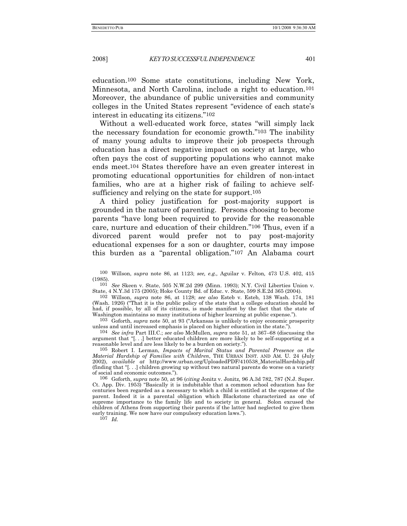education.100 Some state constitutions, including New York, Minnesota, and North Carolina, include a right to education.101 Moreover, the abundance of public universities and community colleges in the United States represent "evidence of each state's interest in educating its citizens."102

Without a well-educated work force, states "will simply lack the necessary foundation for economic growth."103 The inability of many young adults to improve their job prospects through education has a direct negative impact on society at large, who often pays the cost of supporting populations who cannot make ends meet.104 States therefore have an even greater interest in promoting educational opportunities for children of non-intact families, who are at a higher risk of failing to achieve selfsufficiency and relying on the state for support.105

A third policy justification for post-majority support is grounded in the nature of parenting. Persons choosing to become parents "have long been required to provide for the reasonable care, nurture and education of their children."106 Thus, even if a divorced parent would prefer not to pay post-majority educational expenses for a son or daughter, courts may impose this burden as a "parental obligation."107 An Alabama court

101 *See* Skeen v. State, 505 N.W.2d 299 (Minn. 1993); N.Y. Civil Liberties Union v. State, 4 N.Y.3d 175 (2005); Hoke County Bd. of Educ. v. State, 599 S.E.2d 365 (2004).

102 Willson, *supra* note 86, at 1128; *see also* Esteb v. Esteb*,* 138 Wash. 174, 181 (Wash. 1926) ("That it is the public policy of the state that a college education should be had, if possible, by all of its citizens, is made manifest by the fact that the state of Washington maintains so many institutions of higher learning at public expense.").

103 Goforth, *supra* note 50, at 93 ("Arkansas is unlikely to enjoy economic prosperity unless and until increased emphasis is placed on higher education in the state.").

104 *See infra* Part III.C.; *see also* McMullen, *supra* note 51, at 367–68 (discussing the argument that "[. . .] better educated children are more likely to be self-supporting at a reasonable level and are less likely to be a burden on society.").

105 Robert I. Lerman, *Impacts of Marital Status and Parental Presence on the Material Hardship of Families with Children*, THE URBAN INST. AND AM. U. 24 (July 2002), *available at* http://www.urban.org/UploadedPDF/410538\_MaterialHardship.pdf (finding that "[. . .] children growing up without two natural parents do worse on a variety of social and economic outcomes.").

106 Goforth, *supra* note 50, at 96 (*citing* Jonitz v. Jonitz*,* 96 A.3d 782, 787 (N.J. Super. Ct. App. Div. 1953) "Basically it is indubitable that a common school education has for centuries been regarded as a necessary to which a child is entitled at the expense of the parent. Indeed it is a parental obligation which Blackstone characterized as one of supreme importance to the family life and to society in general. Solon excused the children of Athens from supporting their parents if the latter had neglected to give them early training. We now have our compulsory education laws.").

107 *Id.*

<sup>100</sup> Willson, *supra* note 86, at 1123; *see, e.g.,* Aguilar v. Felton*,* 473 U.S. 402, 415 (1985).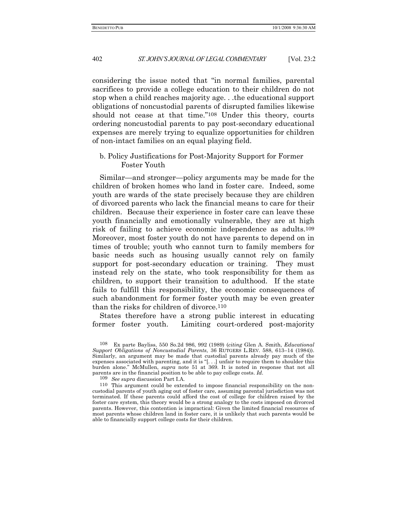considering the issue noted that "in normal families, parental sacrifices to provide a college education to their children do not stop when a child reaches majority age. . .the educational support obligations of noncustodial parents of disrupted families likewise should not cease at that time."108 Under this theory, courts ordering noncustodial parents to pay post-secondary educational expenses are merely trying to equalize opportunities for children of non-intact families on an equal playing field.

#### b. Policy Justifications for Post-Majority Support for Former Foster Youth

Similar—and stronger—policy arguments may be made for the children of broken homes who land in foster care. Indeed, some youth are wards of the state precisely because they are children of divorced parents who lack the financial means to care for their children. Because their experience in foster care can leave these youth financially and emotionally vulnerable, they are at high risk of failing to achieve economic independence as adults.109 Moreover, most foster youth do not have parents to depend on in times of trouble; youth who cannot turn to family members for basic needs such as housing usually cannot rely on family support for post-secondary education or training. They must instead rely on the state, who took responsibility for them as children, to support their transition to adulthood. If the state fails to fulfill this responsibility, the economic consequences of such abandonment for former foster youth may be even greater than the risks for children of divorce.110

States therefore have a strong public interest in educating former foster youth. Limiting court-ordered post-majority

109 *See supra* discussion Part I.A.

<sup>108</sup> Ex parte Bayliss, 550 So.2d 986, 992 (1989) (*citing* Glen A. Smith, *Educational Support Obligations of Noncustodial Parents*, 36 RUTGERS L.REV. 588, 613–14 (1984)). Similarly, an argument may be made that custodial parents already pay much of the expenses associated with parenting, and it is "[. . .] unfair to require them to shoulder this burden alone." McMullen, *supra* note 51 at 369. It is noted in response that not all parents are in the financial position to be able to pay college costs. *Id*.

<sup>110</sup> This argument could be extended to impose financial responsibility on the noncustodial parents of youth aging out of foster care, assuming parental jurisdiction was not terminated. If these parents could afford the cost of college for children raised by the foster care system, this theory would be a strong analogy to the costs imposed on divorced parents. However, this contention is impractical: Given the limited financial resources of most parents whose children land in foster care, it is unlikely that such parents would be able to financially support college costs for their children.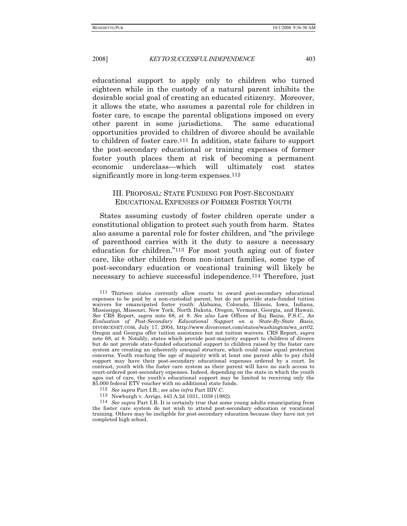educational support to apply only to children who turned eighteen while in the custody of a natural parent inhibits the desirable social goal of creating an educated citizenry. Moreover, it allows the state, who assumes a parental role for children in foster care, to escape the parental obligations imposed on every other parent in some jurisdictions. The same educational opportunities provided to children of divorce should be available to children of foster care.111 In addition, state failure to support the post-secondary educational or training expenses of former foster youth places them at risk of becoming a permanent economic underclass—which will ultimately cost states significantly more in long-term expenses.<sup>112</sup>

### III. PROPOSAL: STATE FUNDING FOR POST-SECONDARY EDUCATIONAL EXPENSES OF FORMER FOSTER YOUTH

States assuming custody of foster children operate under a constitutional obligation to protect such youth from harm. States also assume a parental role for foster children, and "the privilege of parenthood carries with it the duty to assure a necessary education for children."113 For most youth aging out of foster care, like other children from non-intact families, some type of post-secondary education or vocational training will likely be necessary to achieve successful independence.114 Therefore, just

112 *See supra* Part I.B*.*; *see also infra* Part IIIV.C.

113 Newburgh v. Arrigo, 443 A.2d 1031, 1038 (1982).

114 *See supra* Part I.B*.* It is certainly true that some young adults emancipating from the foster care system do not wish to attend post-secondary education or vocational training. Others may be ineligible for post-secondary education because they have not yet completed high school.

<sup>111</sup> Thirteen states currently allow courts to award post-secondary educational expenses to be paid by a non-custodial parent, but do not provide state-funded tuition waivers for emancipated foster youth: Alabama, Colorado, Illinois, Iowa, Indiana, Mississippi, Missouri, New York, North Dakota, Oregon, Vermont, Georgia, and Hawaii. *See* CRS Report, *supra* note 68, at 8. *See also* Law Offices of Raj Bains, P.S.C., *An Evaluation of Post-Secondary Educational Support on a State-By-State Basis*, DIVORCENET.COM, July 17, 2004, http://www.divorcenet.com/states/washington/wa\_art02. Oregon and Georgia offer tuition assistance but not tuition waivers. CRS Report, *supra*  note 68, at 8. Notably, states which provide post-majority support to children of divorce but do not provide state-funded educational support to children raised by the foster care system are creating an inherently unequal structure, which could raise equal protection concerns. Youth reaching the age of majority with at least one parent able to pay child support may have their post-secondary educational expenses ordered by a court. In contrast, youth with the foster care system as their parent will have no such access to court-ordered post-secondary expenses. Indeed, depending on the state in which the youth ages out of care, the youth's educational support may be limited to receiving only the \$5,000 federal ETV voucher with no additional state funds.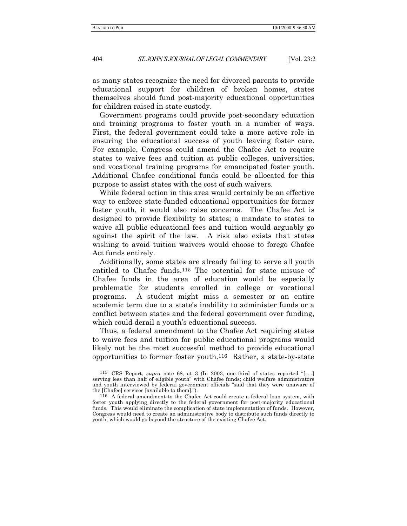as many states recognize the need for divorced parents to provide educational support for children of broken homes, states themselves should fund post-majority educational opportunities for children raised in state custody.

Government programs could provide post-secondary education and training programs to foster youth in a number of ways. First, the federal government could take a more active role in ensuring the educational success of youth leaving foster care. For example, Congress could amend the Chafee Act to require states to waive fees and tuition at public colleges, universities, and vocational training programs for emancipated foster youth. Additional Chafee conditional funds could be allocated for this purpose to assist states with the cost of such waivers.

While federal action in this area would certainly be an effective way to enforce state-funded educational opportunities for former foster youth, it would also raise concerns. The Chafee Act is designed to provide flexibility to states; a mandate to states to waive all public educational fees and tuition would arguably go against the spirit of the law. A risk also exists that states wishing to avoid tuition waivers would choose to forego Chafee Act funds entirely.

Additionally, some states are already failing to serve all youth entitled to Chafee funds.115 The potential for state misuse of Chafee funds in the area of education would be especially problematic for students enrolled in college or vocational programs. A student might miss a semester or an entire academic term due to a state's inability to administer funds or a conflict between states and the federal government over funding, which could derail a youth's educational success.

Thus, a federal amendment to the Chafee Act requiring states to waive fees and tuition for public educational programs would likely not be the most successful method to provide educational opportunities to former foster youth.116 Rather, a state-by-state

<sup>115</sup> CRS Report, *supra* note 68, at 3 (In 2003, one-third of states reported "[. . .] serving less than half of eligible youth" with Chafee funds; child welfare administrators and youth interviewed by federal government officials "said that they were unaware of the [Chafee] services [available to them].").

<sup>116</sup> A federal amendment to the Chafee Act could create a federal loan system, with foster youth applying directly to the federal government for post-majority educational funds. This would eliminate the complication of state implementation of funds. However, Congress would need to create an administrative body to distribute such funds directly to youth, which would go beyond the structure of the existing Chafee Act.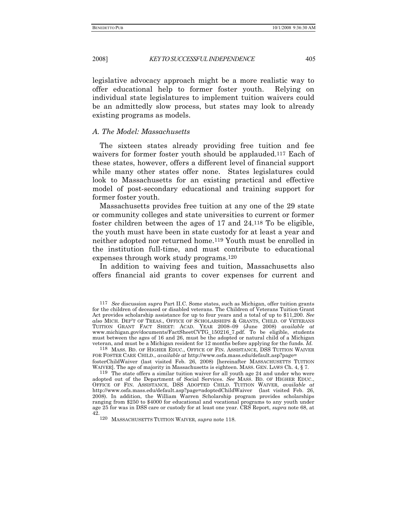legislative advocacy approach might be a more realistic way to offer educational help to former foster youth. Relying on individual state legislatures to implement tuition waivers could be an admittedly slow process, but states may look to already existing programs as models.

#### *A. The Model: Massachusetts*

The sixteen states already providing free tuition and fee waivers for former foster youth should be applauded.<sup>117</sup> Each of these states, however, offers a different level of financial support while many other states offer none. States legislatures could look to Massachusetts for an existing practical and effective model of post-secondary educational and training support for former foster youth.

Massachusetts provides free tuition at any one of the 29 state or community colleges and state universities to current or former foster children between the ages of 17 and 24.118 To be eligible, the youth must have been in state custody for at least a year and neither adopted nor returned home.119 Youth must be enrolled in the institution full-time, and must contribute to educational expenses through work study programs.120

In addition to waiving fees and tuition, Massachusetts also offers financial aid grants to cover expenses for current and

118 MASS. BD. OF HIGHER EDUC., OFFICE OF FIN. ASSISTANCE, DSS TUITION WAIVER FOR FOSTER CARE CHILD., *available at* http://www.osfa.mass.edu/default.asp?page= fosterChildWaiver (last visited Feb. 26, 2008) [hereinafter MASSACHUSETTS TUITION WAIVER]. The age of majority in Massachusetts is eighteen. MASS. GEN. LAWS Ch. 4, § 7.

119 The state offers a similar tuition waiver for all youth age 24 and under who were adopted out of the Department of Social Services. *See* MASS. BD. OF HIGHER EDUC., OFFICE OF FIN. ASSISTANCE, DSS ADOPTED CHILD. TUITION WAIVER, *available at*  http://www.osfa.mass.edu/default.asp?page=adoptedChildWaiver (last visited Feb. 26, 2008). In addition, the William Warren Scholarship program provides scholarships ranging from \$250 to \$4000 for educational and vocational programs to any youth under age 25 for was in DSS care or custody for at least one year. CRS Report, *supra* note 68, at 42.

120 MASSACHUSETTS TUITION WAIVER, *supra* note 118.

<sup>117</sup> *See* discussion *supra* Part II.C. Some states, such as Michigan, offer tuition grants for the children of deceased or disabled veterans. The Children of Veterans Tuition Grant Act provides scholarship assistance for up to four years and a total of up to \$11,200. *See also* MICH. DEP'T OF TREAS., OFFICE OF SCHOLARSHIPS & GRANTS, CHILD. OF VETERANS TUITION GRANT FACT SHEET: ACAD. YEAR 2008–09 (June 2008) *available at* www.michigan.gov/documents/FactSheetCVTG\_150216\_7.pdf. To be eligible, students must between the ages of 16 and 26, must be the adopted or natural child of a Michigan veteran, and must be a Michigan resident for 12 months before applying for the funds. *Id.*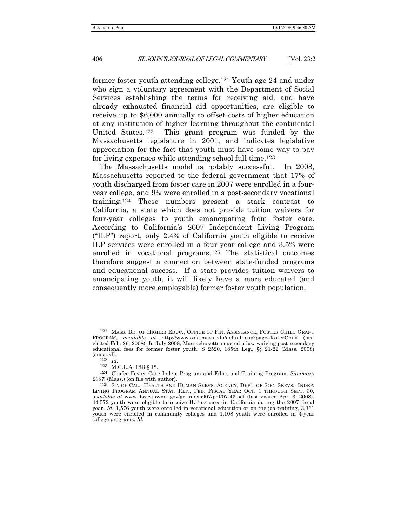former foster youth attending college.121 Youth age 24 and under who sign a voluntary agreement with the Department of Social Services establishing the terms for receiving aid, and have already exhausted financial aid opportunities, are eligible to receive up to \$6,000 annually to offset costs of higher education at any institution of higher learning throughout the continental United States.122 This grant program was funded by the Massachusetts legislature in 2001, and indicates legislative appreciation for the fact that youth must have some way to pay for living expenses while attending school full time.123

The Massachusetts model is notably successful. In 2008, Massachusetts reported to the federal government that 17% of youth discharged from foster care in 2007 were enrolled in a fouryear college, and 9% were enrolled in a post-secondary vocational training.124 These numbers present a stark contrast to California, a state which does not provide tuition waivers for four-year colleges to youth emancipating from foster care. According to California's 2007 Independent Living Program ("ILP") report, only 2.4% of California youth eligible to receive ILP services were enrolled in a four-year college and 3.5% were enrolled in vocational programs.125 The statistical outcomes therefore suggest a connection between state-funded programs and educational success. If a state provides tuition waivers to emancipating youth, it will likely have a more educated (and consequently more employable) former foster youth population.

<sup>121</sup> MASS. BD. OF HIGHER EDUC., OFFICE OF FIN. ASSISTANCE, FOSTER CHILD GRANT PROGRAM, *available at* http://www.osfa.mass.edu/default.asp?page=fosterChild (last visited Feb. 26, 2008). In July 2008, Massachusetts enacted a law waiving post-secondary educational fees for former foster youth. S 2520, 185th Leg., §§ 21-22 (Mass. 2008) (enacted).

<sup>122</sup> *Id.*

<sup>123</sup> M.G.L.A. 18B § 18.

<sup>124</sup> Chafee Foster Care Indep. Program and Educ. and Training Program, *Summary 2007*, (Mass.) (on file with author).

<sup>125</sup> ST. OF CAL., HEALTH AND HUMAN SERVS. AGENCY, DEP'T OF SOC. SERVS., INDEP. LIVING PROGRAM ANNUAL STAT. REP., FED. FISCAL YEAR OCT. 1 THROUGH SEPT. 30, a*vailable at* www.dss.cahwnet.gov/getinfo/acl07/pdf/07-43.pdf (last visited Apr. 3, 2008). 44,572 youth were eligible to receive ILP services in California during the 2007 fiscal year. *Id*. 1,576 youth were enrolled in vocational education or on-the-job training, 3,361 youth were enrolled in community colleges and 1,108 youth were enrolled in 4-year college programs. *Id.*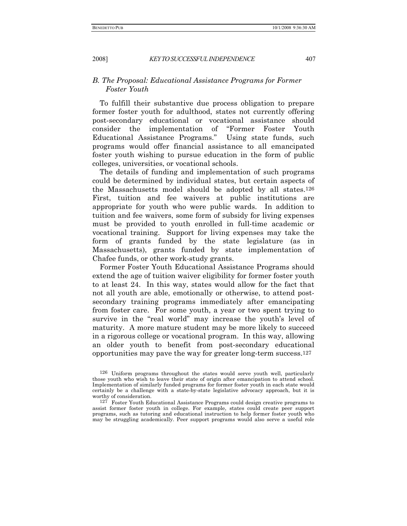#### *B. The Proposal: Educational Assistance Programs for Former Foster Youth*

To fulfill their substantive due process obligation to prepare former foster youth for adulthood, states not currently offering post-secondary educational or vocational assistance should consider the implementation of "Former Foster Youth Educational Assistance Programs." Using state funds, such programs would offer financial assistance to all emancipated foster youth wishing to pursue education in the form of public colleges, universities, or vocational schools.

The details of funding and implementation of such programs could be determined by individual states, but certain aspects of the Massachusetts model should be adopted by all states.126 First, tuition and fee waivers at public institutions are appropriate for youth who were public wards. In addition to tuition and fee waivers, some form of subsidy for living expenses must be provided to youth enrolled in full-time academic or vocational training. Support for living expenses may take the form of grants funded by the state legislature (as in Massachusetts), grants funded by state implementation of Chafee funds, or other work-study grants.

Former Foster Youth Educational Assistance Programs should extend the age of tuition waiver eligibility for former foster youth to at least 24. In this way, states would allow for the fact that not all youth are able, emotionally or otherwise, to attend postsecondary training programs immediately after emancipating from foster care. For some youth, a year or two spent trying to survive in the "real world" may increase the youth's level of maturity. A more mature student may be more likely to succeed in a rigorous college or vocational program. In this way, allowing an older youth to benefit from post-secondary educational opportunities may pave the way for greater long-term success.127

<sup>126</sup> Uniform programs throughout the states would serve youth well, particularly those youth who wish to leave their state of origin after emancipation to attend school. Implementation of similarly funded programs for former foster youth in each state would certainly be a challenge with a state-by-state legislative advocacy approach, but it is worthy of consideration.

 $127$  Foster Youth Educational Assistance Programs could design creative programs to assist former foster youth in college. For example, states could create peer support programs, such as tutoring and educational instruction to help former foster youth who may be struggling academically. Peer support programs would also serve a useful role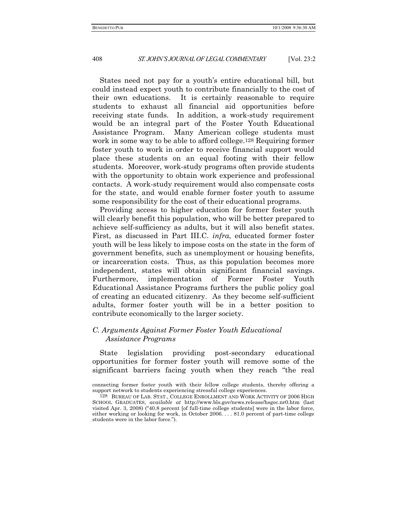States need not pay for a youth's entire educational bill, but could instead expect youth to contribute financially to the cost of their own educations. It is certainly reasonable to require students to exhaust all financial aid opportunities before receiving state funds. In addition, a work-study requirement would be an integral part of the Foster Youth Educational Assistance Program. Many American college students must work in some way to be able to afford college.128 Requiring former foster youth to work in order to receive financial support would place these students on an equal footing with their fellow students.Moreover, work-study programs often provide students with the opportunity to obtain work experience and professional contacts. A work-study requirement would also compensate costs for the state, and would enable former foster youth to assume some responsibility for the cost of their educational programs.

Providing access to higher education for former foster youth will clearly benefit this population, who will be better prepared to achieve self-sufficiency as adults, but it will also benefit states. First, as discussed in Part III.C. *infra*, educated former foster youth will be less likely to impose costs on the state in the form of government benefits, such as unemployment or housing benefits, or incarceration costs. Thus, as this population becomes more independent, states will obtain significant financial savings. Furthermore, implementation of Former Foster Youth Educational Assistance Programs furthers the public policy goal of creating an educated citizenry. As they become self-sufficient adults, former foster youth will be in a better position to contribute economically to the larger society.

#### *C. Arguments Against Former Foster Youth Educational Assistance Programs*

State legislation providing post-secondary educational opportunities for former foster youth will remove some of the significant barriers facing youth when they reach "the real

connecting former foster youth with their fellow college students, thereby offering a support network to students experiencing stressful college experiences.

<sup>128</sup> BUREAU OF LAB. STAT., COLLEGE ENROLLMENT AND WORK ACTIVITY OF 2006 HIGH SCHOOL GRADUATES, *available at* http://www.bls.gov/news.release/hsgec.nr0.htm (last visited Apr. 3, 2008) ("40.8 percent [of full-time college students] were in the labor force, either working or looking for work, in October 2006.... 81.0 percent of part-time college students were in the labor force.").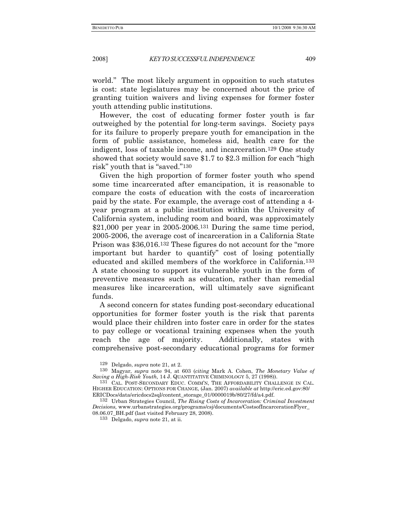world." The most likely argument in opposition to such statutes is cost: state legislatures may be concerned about the price of granting tuition waivers and living expenses for former foster youth attending public institutions.

However, the cost of educating former foster youth is far outweighed by the potential for long-term savings. Society pays for its failure to properly prepare youth for emancipation in the form of public assistance, homeless aid, health care for the indigent, loss of taxable income, and incarceration.129 One study showed that society would save \$1.7 to \$2.3 million for each "high risk" youth that is "saved."130

Given the high proportion of former foster youth who spend some time incarcerated after emancipation, it is reasonable to compare the costs of education with the costs of incarceration paid by the state. For example, the average cost of attending a 4 year program at a public institution within the University of California system, including room and board, was approximately \$21,000 per year in 2005-2006.131 During the same time period, 2005-2006, the average cost of incarceration in a California State Prison was \$36,016.132 These figures do not account for the "more important but harder to quantify" cost of losing potentially educated and skilled members of the workforce in California.133 A state choosing to support its vulnerable youth in the form of preventive measures such as education, rather than remedial measures like incarceration, will ultimately save significant funds.

A second concern for states funding post-secondary educational opportunities for former foster youth is the risk that parents would place their children into foster care in order for the states to pay college or vocational training expenses when the youth reach the age of majority. Additionally, states with comprehensive post-secondary educational programs for former

133 Delgado, *supra* note 21, at ii.

<sup>129</sup> Delgado, *supra* note 21, at 2.

<sup>130</sup> Magyar, *supra* note 94, at 603 (*citing* Mark A. Cohen, *The Monetary Value of Saving a High-Risk Youth,* 14 J. QUANTITATIVE CRIMINOLOGY 5, 27 (1998)).

<sup>131</sup> CAL. POST-SECONDARY EDUC. COMM'N, THE AFFORDABILITY CHALLENGE IN CAL. HIGHER EDUCATION: OPTIONS FOR CHANGE, (Jan. 2007) *available at* http://eric.ed.gov:80/ ERICDocs/data/ericdocs2sql/content\_storage\_01/0000019b/80/27/fd/a4.pdf.

<sup>132</sup> Urban Strategies Council, *The Rising Costs of Incarceration: Criminal Investment Decisions,* www.urbanstrategies.org/programs/csj/documents/CostsofIncarcerationFlyer\_ 08.06.07\_BH.pdf (last visited February 28, 2008).